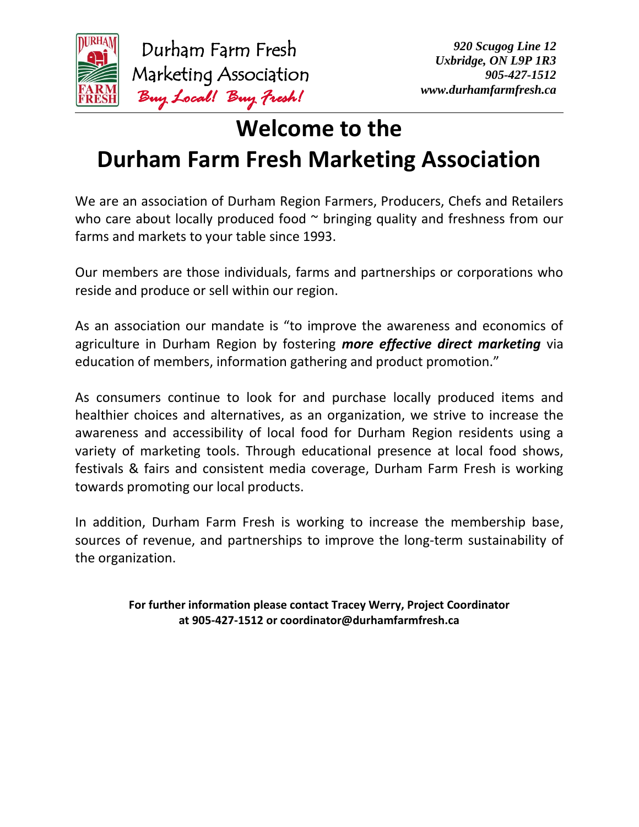

 Durham Farm Fresh Marketing Association  *Buy Local! Buy Fresh!* 

# **Welcome to the Durham Farm Fresh Marketing Association**

We are an association of Durham Region Farmers, Producers, Chefs and Retailers who care about locally produced food  $\sim$  bringing quality and freshness from our farms and markets to your table since 1993.

Our members are those individuals, farms and partnerships or corporations who reside and produce or sell within our region.

As an association our mandate is "to improve the awareness and economics of agriculture in Durham Region by fostering *more effective direct marketing* via education of members, information gathering and product promotion."

As consumers continue to look for and purchase locally produced items and healthier choices and alternatives, as an organization, we strive to increase the awareness and accessibility of local food for Durham Region residents using a variety of marketing tools. Through educational presence at local food shows, festivals & fairs and consistent media coverage, Durham Farm Fresh is working towards promoting our local products.

In addition, Durham Farm Fresh is working to increase the membership base, sources of revenue, and partnerships to improve the long-term sustainability of the organization.

> **For further information please contact Tracey Werry, Project Coordinator at 905-427-1512 or coordinator@durhamfarmfresh.ca**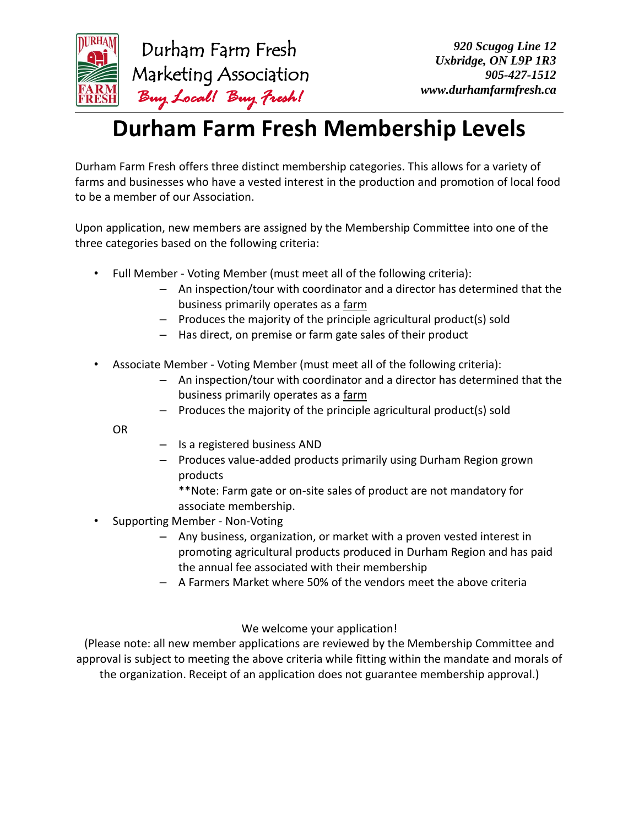

## **Durham Farm Fresh Membership Levels**

Durham Farm Fresh offers three distinct membership categories. This allows for a variety of farms and businesses who have a vested interest in the production and promotion of local food to be a member of our Association.

Upon application, new members are assigned by the Membership Committee into one of the three categories based on the following criteria:

- Full Member Voting Member (must meet all of the following criteria):
	- An inspection/tour with coordinator and a director has determined that the business primarily operates as a farm
	- Produces the majority of the principle agricultural product(s) sold
	- Has direct, on premise or farm gate sales of their product
- Associate Member Voting Member (must meet all of the following criteria):
	- An inspection/tour with coordinator and a director has determined that the business primarily operates as a farm
	- Produces the majority of the principle agricultural product(s) sold

OR

- Is a registered business AND
- Produces value-added products primarily using Durham Region grown products

\*\*Note: Farm gate or on-site sales of product are not mandatory for associate membership.

- Supporting Member Non-Voting
	- Any business, organization, or market with a proven vested interest in promoting agricultural products produced in Durham Region and has paid the annual fee associated with their membership
	- A Farmers Market where 50% of the vendors meet the above criteria

#### We welcome your application!

(Please note: all new member applications are reviewed by the Membership Committee and approval is subject to meeting the above criteria while fitting within the mandate and morals of the organization. Receipt of an application does not guarantee membership approval.)